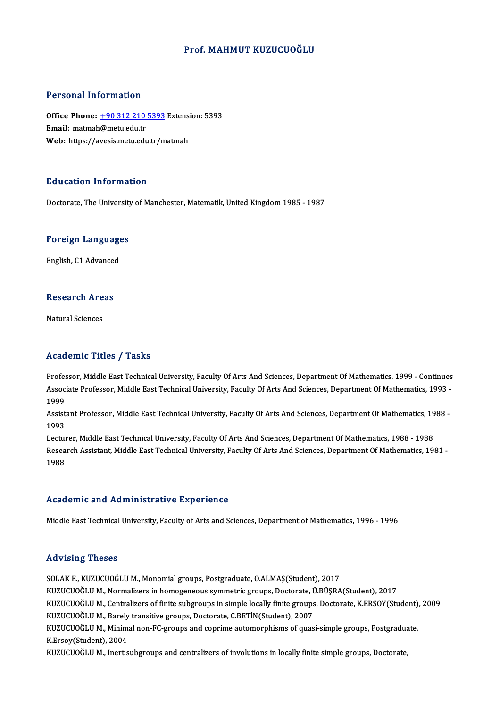#### Prof.MAHMUT KUZUCUOĞLU

#### Personal Information

Personal Information<br>Office Phone: <u>+90 312 210 5393</u> Extension: 5393<br>Email: matmab@matu.edu.tr office Phone: <u>+90 312 210</u><br>Email: matmah[@metu.edu.tr](tel:+90 312 210 5393)<br>Web. https://avesis.metu.edu.tr Office Phone: <u>+90 312 210 5393</u> Extensi<br>Email: matmah@metu.edu.tr<br>Web: https://avesis.metu.edu.tr/matmah Web: https://avesis.metu.edu.tr/matmah<br>Education Information

Doctorate, The University of Manchester, Matematik, United Kingdom 1985 - 1987

### **Doctorate, The University**<br>Foreign Languages <mark>Foreign Language</mark><br>English, C1 Advanced

### engusn, C1 Advanced<br>Research Areas <mark>Research Are</mark><br>Natural Sciences

## Natural Sciences<br>Academic Titles / Tasks

Professor, Middle East Technical University, Faculty Of Arts And Sciences, Department Of Mathematics, 1999 - Continues AssociateMProfessor, Americal University, Faculty Of Arts And Sciences, Department Of Mathematics, 1999 - Continues<br>Associate Professor, Middle East Technical University, Faculty Of Arts And Sciences, Department Of Mathema Profes<br>Assoc<br>1999<br>Assist Associate Professor, Middle East Technical University, Faculty Of Arts And Sciences, Department Of Mathematics, 1993<br>1999<br>Assistant Professor, Middle East Technical University, Faculty Of Arts And Sciences, Department Of M

1999<br>Assist<br>1993<br>Lectur Assistant Professor, Middle East Technical University, Faculty Of Arts And Sciences, Department Of Mathematics, 19<br>1993<br>Lecturer, Middle East Technical University, Faculty Of Arts And Sciences, Department Of Mathematics, 1

1993<br>Lecturer, Middle East Technical University, Faculty Of Arts And Sciences, Department Of Mathematics, 1988 - 1988<br>Research Assistant, Middle East Technical University, Faculty Of Arts And Sciences, Department Of Mathem Lecturer, Middle East Technical University, Faculty Of Arts And Sciences, Department Of Mathematics, 1988 - 1988

#### Academic and Administrative Experience

Middle East Technical University, Faculty of Arts and Sciences, Department of Mathematics, 1996 - 1996

#### Advising Theses

SOLAK E., KUZUCUOĞLU M., Monomial groups, Postgraduate, Ö.ALMAŞ(Student), 2017 KUZUCUOĞLUM.,Normalizers inhomogeneous symmetric groups,Doctorate,Ü.BÜŞRA(Student),2017 SOLAK E., KUZUCUOĞLU M., Monomial groups, Postgraduate, Ö.ALMAŞ(Student), 2017<br>KUZUCUOĞLU M., Normalizers in homogeneous symmetric groups, Doctorate, Ü.BÜŞRA(Student), 2017<br>KUZUCUOĞLU M., Centralizers of finite subgroups i KUZUCUOĞLU M., Normalizers in homogeneous symmetric groups, Doctorate, İ<br>KUZUCUOĞLU M., Centralizers of finite subgroups in simple locally finite groups<br>KUZUCUOĞLU M., Barely transitive groups, Doctorate, C.BETİN(Student), KUZUCUOĞLU M., Centralizers of finite subgroups in simple locally finite groups, Doctorate, K.ERSOY(Student)<br>KUZUCUOĞLU M., Barely transitive groups, Doctorate, C.BETİN(Student), 2007<br>KUZUCUOĞLU M., Minimal non-FC-groups a KUZUCUOĞLU M., Barely<br>KUZUCUOĞLU M., Minim<br>K.Ersoy(Student), 2004<br>KUZUCUOĞLU M. Jaart a KUZUCUOĞLU M., Minimal non-FC-groups and coprime automorphisms of quasi-simple groups, Postgradua<br>K.Ersoy(Student), 2004<br>KUZUCUOĞLU M., Inert subgroups and centralizers of involutions in locally finite simple groups, Docto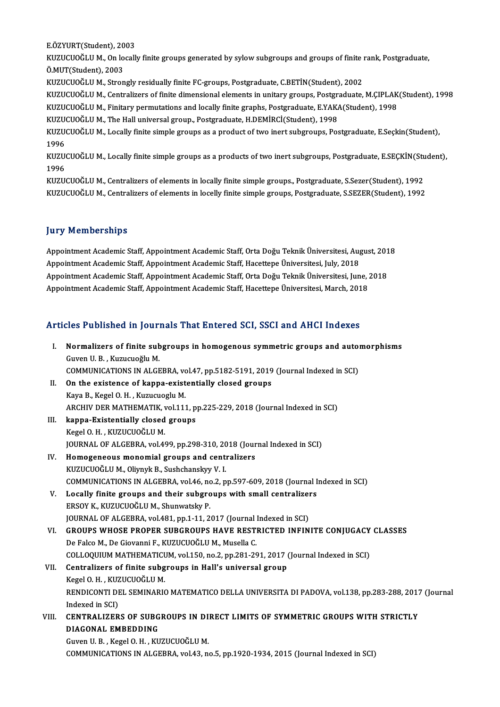E.ÖZYURT(Student),2003

E.ÖZYURT(Student), 2003<br>KUZUCUOĞLU M., On locally finite groups generated by sylow subgroups and groups of finite rank, Postgraduate,<br>Ö.MUT(Student), 2002 E.ÖZYURT(Student), 20<br>KUZUCUOĞLU M., On lo<br>Ö.MUT(Student), 2003<br>KUZUCUOĞLU M. Stran KUZUCUOĞLU M., On locally finite groups generated by sylow subgroups and groups of finite i<br>Ö.MUT(Student), 2003<br>KUZUCUOĞLU M., Strongly residually finite FC-groups, Postgraduate, C.BETİN(Student), 2002<br>KUZUCUOĞLU M., Stro

Ö.MUT(Student), 2003<br>KUZUCUOĞLU M., Strongly residually finite FC-groups, Postgraduate, C.BETİN(Student), 2002<br>KUZUCUOĞLU M., Centralizers of finite dimensional elements in unitary groups, Postgraduate, M.ÇIPLAK(Student), KUZUCUOĞLU M., Strongly residually finite FC-groups, Postgraduate, C.BETİN(Student), 2002<br>KUZUCUOĞLU M., Centralizers of finite dimensional elements in unitary groups, Postgraduate, M.ÇIPLAK<br>KUZUCUOĞLU M., Finitary permuta KUZUCUOĞLU M., Centralizers of finite dimensional elements in unitary groups, Postgra<br>KUZUCUOĞLU M., Finitary permutations and locally finite graphs, Postgraduate, E.YAK.<br>KUZUCUOĞLU M., The Hall universal group., Postgradu

KUZUCUOĞLU M., The Hall universal group., Postgraduate, H.DEMİRCİ(Student), 1998

KUZUCUOĞLU M., Finitary permutations and locally finite graphs, Postgraduate, E.YAKA(Student), 1998<br>KUZUCUOĞLU M., The Hall universal group., Postgraduate, H.DEMİRCİ(Student), 1998<br>KUZUCUOĞLU M., Locally finite simple grou KUZUCUOĞLU M., Locally finite simple groups as a product of two inert subgroups, Postgraduate, E.Seçkin(Student),<br>1996<br>KUZUCUOĞLU M., Locally finite simple groups as a products of two inert subgroups, Postgraduate, E.SEÇKİ

1996<br>KUZU<br>1996<br>KUZU KUZUCUOĞLU M., Locally finite simple groups as a products of two inert subgroups, Postgraduate, E.SEÇKİN(Stu<br>1996<br>KUZUCUOĞLU M., Centralizers of elements in locally finite simple groups., Postgraduate, S.Sezer(Student), 19

1996<br>KUZUCUOĞLU M., Centralizers of elements in locally finite simple groups., Postgraduate, S.Sezer(Student), 1992<br>KUZUCUOĞLU M., Centralizers of elements in locelly finite simple groups, Postgraduate, S.SEZER(Student), 1

### **Jury Memberships**

Appointment Academic Staff, Appointment Academic Staff, Orta Doğu Teknik Üniversitesi, August, 2018 Appointment Academic Staff, Appointment Academic Staff, Orta Doğu Teknik Üniversitesi, Aug.<br>Appointment Academic Staff, Appointment Academic Staff, Hacettepe Üniversitesi, July, 2018<br>Appointment Academic Staff, Appointment Appointment Academic Staff, Appointment Academic Staff, Orta Doğu Teknik Üniversitesi, August, 201<br>Appointment Academic Staff, Appointment Academic Staff, Hacettepe Üniversitesi, July, 2018<br>Appointment Academic Staff, Appo Appointment Academic Staff, Appointment Academic Staff, Hacettepe Üniversitesi, July, 2018<br>Appointment Academic Staff, Appointment Academic Staff, Orta Doğu Teknik Üniversitesi, June, ;<br>Appointment Academic Staff, Appointm

# Appointment Academic Starl, Appointment Academic Starl, Hacettepe Universitesi, March, 201<br>Articles Published in Journals That Entered SCI, SSCI and AHCI Indexes

| Articles Published in Journals That Entered SCI, SSCI and AHCI Indexes |                                                                                                    |
|------------------------------------------------------------------------|----------------------------------------------------------------------------------------------------|
| Ι.                                                                     | Normalizers of finite subgroups in homogenous symmetric groups and automorphisms                   |
|                                                                        | Guven U.B., Kuzucuoğlu M.                                                                          |
|                                                                        | COMMUNICATIONS IN ALGEBRA, vol.47, pp.5182-5191, 2019 (Journal Indexed in SCI)                     |
| Н.                                                                     | On the existence of kappa-existentially closed groups                                              |
|                                                                        | Kaya B., Kegel O. H., Kuzucuoglu M.                                                                |
|                                                                        | ARCHIV DER MATHEMATIK, vol.111, pp.225-229, 2018 (Journal Indexed in SCI)                          |
| III.                                                                   | kappa-Existentially closed groups                                                                  |
|                                                                        | Kegel O. H., KUZUCUOĞLU M.                                                                         |
|                                                                        | JOURNAL OF ALGEBRA, vol.499, pp.298-310, 2018 (Journal Indexed in SCI)                             |
| IV.                                                                    | Homogeneous monomial groups and centralizers                                                       |
|                                                                        | KUZUCUOĞLU M., Oliynyk B., Sushchanskyy V. I.                                                      |
|                                                                        | COMMUNICATIONS IN ALGEBRA, vol.46, no.2, pp.597-609, 2018 (Journal Indexed in SCI)                 |
| V.                                                                     | Locally finite groups and their subgroups with small centralizers                                  |
|                                                                        | ERSOY K., KUZUCUOĞLU M., Shunwatsky P.                                                             |
|                                                                        | JOURNAL OF ALGEBRA, vol 481, pp.1-11, 2017 (Journal Indexed in SCI)                                |
| VI.                                                                    | GROUPS WHOSE PROPER SUBGROUPS HAVE RESTRICTED INFINITE CONJUGACY CLASSES                           |
|                                                                        | De Falco M., De Giovanni F., KUZUCUOĞLU M., Musella C.                                             |
|                                                                        | COLLOQUIUM MATHEMATICUM, vol.150, no.2, pp.281-291, 2017 (Journal Indexed in SCI)                  |
| VII.                                                                   | Centralizers of finite subgroups in Hall's universal group                                         |
|                                                                        | Kegel O. H., KUZUCUOĞLU M.                                                                         |
|                                                                        | RENDICONTI DEL SEMINARIO MATEMATICO DELLA UNIVERSITA DI PADOVA, vol.138, pp.283-288, 2017 (Journal |
|                                                                        | Indexed in SCI)                                                                                    |
| VIII.                                                                  | CENTRALIZERS OF SUBGROUPS IN DIRECT LIMITS OF SYMMETRIC GROUPS WITH STRICTLY                       |
|                                                                        | DIAGONAL EMBEDDING                                                                                 |
|                                                                        | Guven U.B., Kegel O.H., KUZUCUOĞLU M.                                                              |
|                                                                        | COMMUNICATIONS IN ALGEBRA, vol.43, no.5, pp.1920-1934, 2015 (Journal Indexed in SCI)               |
|                                                                        |                                                                                                    |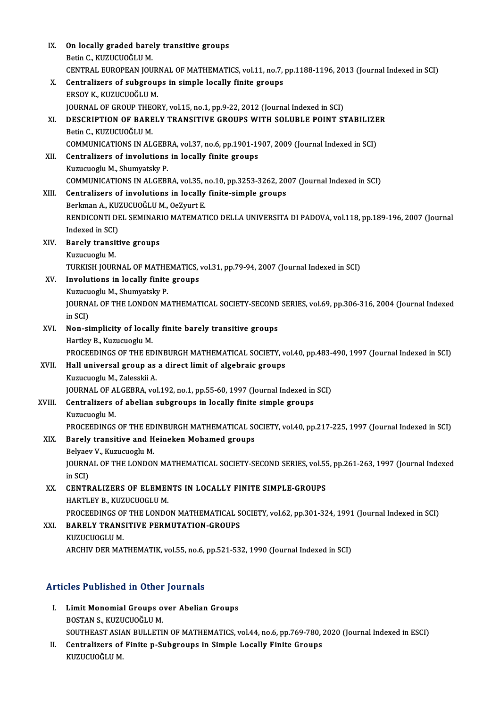| IX.    | On locally graded barely transitive groups                                                                     |
|--------|----------------------------------------------------------------------------------------------------------------|
|        | Betin C., KUZUCUOĞLU M.                                                                                        |
|        | CENTRAL EUROPEAN JOURNAL OF MATHEMATICS, vol.11, no.7, pp.1188-1196, 2013 (Journal Indexed in SCI)             |
| X.     | Centralizers of subgroups in simple locally finite groups                                                      |
|        | ERSOY K., KUZUCUOĞLU M.                                                                                        |
| XI.    | JOURNAL OF GROUP THEORY, vol.15, no.1, pp.9-22, 2012 (Journal Indexed in SCI)                                  |
|        | DESCRIPTION OF BARELY TRANSITIVE GROUPS WITH SOLUBLE POINT STABILIZER<br>Betin C., KUZUCUOĞLU M.               |
|        | COMMUNICATIONS IN ALGEBRA, vol.37, no.6, pp.1901-1907, 2009 (Journal Indexed in SCI)                           |
| XII.   | Centralizers of involutions in locally finite groups                                                           |
|        | Kuzucuoglu M., Shumyatsky P.                                                                                   |
|        | COMMUNICATIONS IN ALGEBRA, vol.35, no.10, pp.3253-3262, 2007 (Journal Indexed in SCI)                          |
| XIII.  | Centralizers of involutions in locally finite-simple groups                                                    |
|        | Berkman A., KUZUCUOĞLU M., OeZyurt E.                                                                          |
|        | RENDICONTI DEL SEMINARIO MATEMATICO DELLA UNIVERSITA DI PADOVA, vol 118, pp.189-196, 2007 (Journal             |
|        | Indexed in SCI)                                                                                                |
| XIV.   | <b>Barely transitive groups</b>                                                                                |
|        | Kuzucuoglu M                                                                                                   |
|        | TURKISH JOURNAL OF MATHEMATICS, vol.31, pp.79-94, 2007 (Journal Indexed in SCI)                                |
| XV.    | Involutions in locally finite groups                                                                           |
|        | Kuzucuoglu M., Shumyatsky P.                                                                                   |
|        | JOURNAL OF THE LONDON MATHEMATICAL SOCIETY-SECOND SERIES, vol.69, pp.306-316, 2004 (Journal Indexed<br>in SCI) |
| XVI.   | Non-simplicity of locally finite barely transitive groups                                                      |
|        | Hartley B., Kuzucuoglu M.                                                                                      |
|        | PROCEEDINGS OF THE EDINBURGH MATHEMATICAL SOCIETY, vol.40, pp.483-490, 1997 (Journal Indexed in SCI)           |
| XVII.  | Hall universal group as a direct limit of algebraic groups                                                     |
|        | Kuzucuoglu M., Zalesskii A.                                                                                    |
|        | JOURNAL OF ALGEBRA, vol.192, no.1, pp.55-60, 1997 (Journal Indexed in SCI)                                     |
| XVIII. | Centralizers of abelian subgroups in locally finite simple groups                                              |
|        | Kuzucuoglu M.                                                                                                  |
|        | PROCEEDINGS OF THE EDINBURGH MATHEMATICAL SOCIETY, vol.40, pp.217-225, 1997 (Journal Indexed in SCI)           |
| XIX.   | Barely transitive and Heineken Mohamed groups                                                                  |
|        | Belyaev V., Kuzucuoglu M.                                                                                      |
|        | JOURNAL OF THE LONDON MATHEMATICAL SOCIETY-SECOND SERIES, vol.55, pp.261-263, 1997 (Journal Indexed            |
|        | in SCI)                                                                                                        |
| XX.    | <b>CENTRALIZERS OF ELEMENTS IN LOCALLY FINITE SIMPLE-GROUPS</b><br>HARTLEY B., KUZUCUOGLU M.                   |
|        | PROCEEDINGS OF THE LONDON MATHEMATICAL SOCIETY, vol.62, pp.301-324, 1991 (Journal Indexed in SCI)              |
| XXI.   | <b>BARELY TRANSITIVE PERMUTATION-GROUPS</b>                                                                    |
|        | KUZUCUOGLU M.                                                                                                  |
|        | ARCHIV DER MATHEMATIK, vol.55, no.6, pp.521-532, 1990 (Journal Indexed in SCI)                                 |
|        |                                                                                                                |

### Articles Published in Other Journals

- **Tricles Published in Other Journals<br>I. Limit Monomial Groups over Abelian Groups<br>ROSTAN S. KUZUCUOČLU M EXECT ABITELE IN CENTRE**<br>BOSTAN S., KUZUCUOĞLU M.<br>SOLITUEAST ASIAN BIJI LETI Limit Monomial Groups over Abelian Groups<br>BOSTAN S., KUZUCUOĞLU M.<br>SOUTHEAST ASIAN BULLETIN OF MATHEMATICS, vol.44, no.6, pp.769-780, 2020 (Journal Indexed in ESCI)<br>Contralizare of Finite p. Substaure in Simple Locally Fin BOSTAN S., KUZUCUOĞLU M.<br>SOUTHEAST ASIAN BULLETIN OF MATHEMATICS, vol.44, no.6, pp.769-780, *i*<br>II. Centralizers of Finite p-Subgroups in Simple Locally Finite Groups<br>KUZUCUOĞLU M.
- SOUTHEAST ASIA<br><mark>Centralizers of</mark><br>KUZUCUOĞLU M.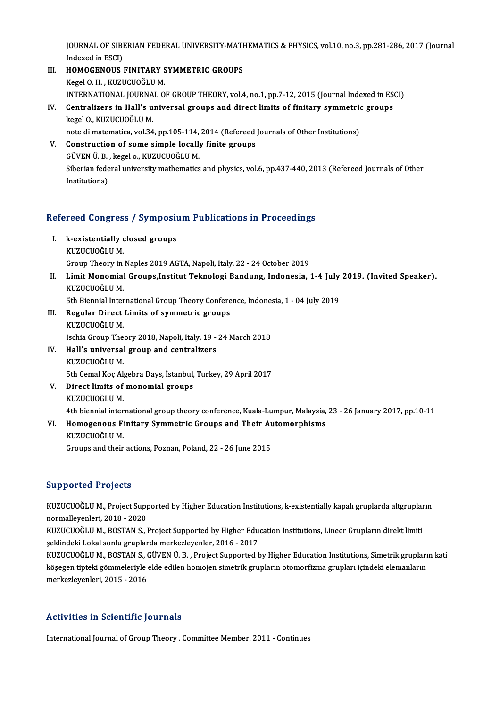JOURNAL OF SIBERIAN FEDERAL UNIVERSITY-MATHEMATICS & PHYSICS, vol.10, no.3, pp.281-286, 2017 (Journal<br>Indexed in ESCL) **JOURNAL OF SIBI**<br>Indexed in ESCI)<br>HOMOGENOUS JOURNAL OF SIBERIAN FEDERAL UNIVERSITY-MATH<br>Indexed in ESCI)<br>III. HOMOGENOUS FINITARY SYMMETRIC GROUPS<br>Vegal O. H. VUZUCIOČI II.M

- Indexed in ESCI)<br>H**OMOGENOUS FINITARY S<br>Kegel O. H. , KUZUCUOĞLU M.**<br>INTERNATIONAL JOURNAL O HOMOGENOUS FINITARY SYMMETRIC GROUPS<br>Kegel O. H. , KUZUCUOĞLU M.<br>INTERNATIONAL JOURNAL OF GROUP THEORY, vol.4, no.1, pp.7-12, 2015 (Journal Indexed in ESCI)<br>Contralizers in Hall's universal groups and direct limits of fini Kegel O. H. , KUZUCUOĞLU M.<br>INTERNATIONAL JOURNAL OF GROUP THEORY, vol.4, no.1, pp.7-12, 2015 (Journal Indexed in ES<br>IV. Centralizers in Hall's universal groups and direct limits of finitary symmetric groups<br>Icosel O.
- INTERNATIONAL JOURNA<br>Centralizers in Hall's u<br>kegel O., KUZUCUOĞLU M.<br>note di matematica vel 34 IV. Centralizers in Hall's universal groups and direct limits of finitary symmetric groups<br>kegel O., KUZUCUOĞLU M.<br>note di matematica, vol.34, pp.105-114, 2014 (Refereed Journals of Other Institutions) kegel O., KUZUCUOĞLU M.<br>note di matematica, vol.34, pp.105-114, 2014 (Refereed<br>V. Construction of some simple locally finite groups<br>cüven ü. B. kegel o. KUZUCUOĞLU M.
- note di matematica, vol.34, pp.105-114,<br>Construction of some simple locally<br>GÜVEN Ü. B. , kegel o., KUZUCUOĞLU M.<br>Sibarian fadaral university mathematics Siberian federal university mathematics and physics, vol.6, pp.437-440, 2013 (Refereed Journals of Other Institutions) GÜVEN Ü B, kegel o, KUZUCUOĞLU M.

# nsututions)<br>Refereed Congress / Symposium Publications in Proceedings

- efereed Congress / Symposiu<br>I. k-existentially closed groups<br>EUIZUCUOČIJI M I. k-existentially closed groups<br>KUZUCUOĞLUM. Group Theory in Naples 2019 AGTA, Napoli, Italy, 22 - 24 October 2019
- KUZUCUOĞLU M.<br>Group Theory in Naples 2019 AGTA, Napoli, Italy, 22 24 October 2019<br>II. Limit Monomial Groups,Institut Teknologi Bandung, Indonesia, 1-4 July 2019. (Invited Speaker).<br>KUZUCUOČLU M Group Theory in<br><mark>Limit Monomial</mark><br>KUZUCUOĞLU M.<br>Eth Piennial Inter Limit Monomial Groups,Institut Teknologi Bandung, Indonesia, 1-4 July<br>KUZUCUOĞLU M.<br>5th Biennial International Group Theory Conference, Indonesia, 1 - 04 July 2019<br>Pogular Direct Limite of summetris groups

- KUZUCUOĞLU M.<br>5th Biennial International Group Theory Confere<br>III. Regular Direct Limits of symmetric groups<br>EURUCIOĞLU M 5th Biennial Inter<br>Regular Direct<br>KUZUCUOĞLU M.<br>Isebia Craun The KUZUCUOĞLU M.<br>Ischia Group Theory 2018, Napoli, Italy, 19 - 24 March 2018 KUZUCUOĞLU M.<br>Ischia Group Theory 2018, Napoli, Italy, 19 -<br>IV. Hall's universal group and centralizers<br>EUIZUCIOČI II M
- Ischia Group The<br><mark>Hall's universal</mark><br>KUZUCUOĞLU M.<br>Eth Comel Kos Al 5th Cemal Koç Algebra Days, İstanbul, Turkey, 29 April 2017<br>5th Cemal Koç Algebra Days, İstanbul, Turkey, 29 April 2017 KUZUCUOĞLU M.<br>5th Cemal Koç Algebra Days, İstanbul,<br>V. Direct limits of monomial groups<br>EUIZUCUOĞLU M
- 5th Cemal Koç Al<sub>i</sub><br>Direct limits of<br>KUZUCUOĞLU M.<br>4th bionnial inter KUZUCUOĞLU M.<br>4th biennial international group theory conference, Kuala-Lumpur, Malaysia, 23 - 26 January 2017, pp.10-11

KUZUCUOĞLU M.<br>4th biennial international group theory conference, Kuala-Lumpur, Malaysia,<br>VI. Homogenous Finitary Symmetric Groups and Their Automorphisms<br>EUIZUCUOŠLU M KUZUCUOĞLU M.<br>Groups and their actions, Poznan, Poland, 22 - 26 June 2015 Homogenous Finitary Symmetric Groups and Their Au<br>KUZUCUOĞLU M.<br>Groups and their actions, Poznan, Poland, 22 - 26 June 2015

#### Supported Projects

Supported Projects<br>KUZUCUOĞLU M., Project Supported by Higher Education Institutions, k-existentially kapalı gruplarda altgrupların<br>Permallavenleri, 2018, ...2020 المعروبية<br>KUZUCUOĞLU M., Project Supp<br>normalleyenleri, 2018 - 2020<br>KUZUCUOĞLU M. POSTAN S KUZUCUOĞLU M., Project Supported by Higher Education Institutions, k-existentially kapalı gruplarda altgruplar<br>normalleyenleri, 2018 - 2020<br>KUZUCUOĞLU M., BOSTAN S., Project Supported by Higher Education Institutions, Line

normalleyenleri, 2018 - 2020<br>KUZUCUOĞLU M., BOSTAN S., Project Supported by Higher Edu<br>şeklindeki Lokal sonlu gruplarda merkezleyenler, 2016 - 2017<br>KUZUCUOĞLU M. BOSTAN S. CÜVEN Ü. B., Project Supported b KUZUCUOĞLU M., BOSTAN S., Project Supported by Higher Education Institutions, Lineer Grupların direkt limiti<br>şeklindeki Lokal sonlu gruplarda merkezleyenler, 2016 - 2017<br>KUZUCUOĞLU M., BOSTAN S., GÜVEN Ü. B. , Project Supp

şeklindeki Lokal sonlu gruplarda merkezleyenler, 2016 - 2017<br>KUZUCUOĞLU M., BOSTAN S., GÜVEN Ü. B. , Project Supported by Higher Education Institutions, Simetrik grupları<br>köşegen tipteki gömmeleriyle elde edilen homojen si KUZUCUOĞLU M., BOSTAN S., (<br>köşegen tipteki gömmeleriyle<br>merkezleyenleri, 2015 - 2016

## merkezleyenleri, 2015 - 2016<br>Activities in Scientific Journals

International Journal of Group Theory , Committee Member, 2011 - Continues